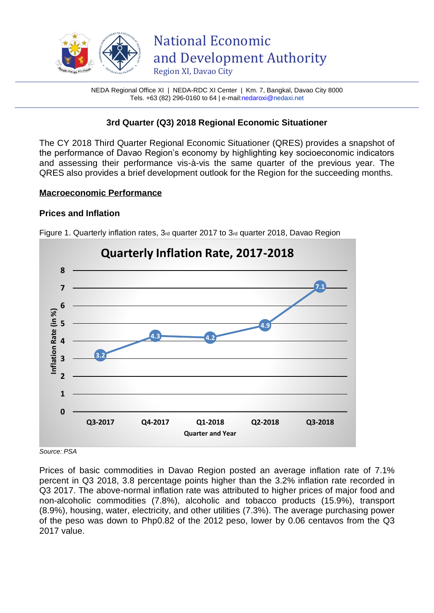

NEDA Regional Office XI | NEDA-RDC XI Center | Km. 7, Bangkal, Davao City 8000 Tels. +63 (82) 296-0160 to 64 | e-mai[l:nedaroxi@n](mailto:nedaroxi@)edaxi.net

# **3rd Quarter (Q3) 2018 Regional Economic Situationer**

The CY 2018 Third Quarter Regional Economic Situationer (QRES) provides a snapshot of the performance of Davao Region's economy by highlighting key socioeconomic indicators and assessing their performance vis-à-vis the same quarter of the previous year. The QRES also provides a brief development outlook for the Region for the succeeding months.

### **Macroeconomic Performance**

# **Prices and Inflation**



Figure 1. Quarterly inflation rates, 3rd quarter 2017 to 3rd quarter 2018, Davao Region

*Source: PSA* 

Prices of basic commodities in Davao Region posted an average inflation rate of 7.1% percent in Q3 2018, 3.8 percentage points higher than the 3.2% inflation rate recorded in Q3 2017. The above-normal inflation rate was attributed to higher prices of major food and non-alcoholic commodities (7.8%), alcoholic and tobacco products (15.9%), transport (8.9%), housing, water, electricity, and other utilities (7.3%). The average purchasing power of the peso was down to Php0.82 of the 2012 peso, lower by 0.06 centavos from the Q3 2017 value.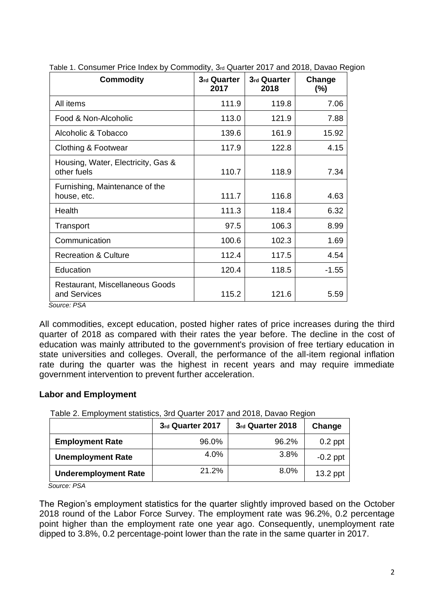| <b>Commodity</b>                                                                          | 3rd Quarter<br>2017 | 3rd Quarter<br>2018 | Change<br>(%) |
|-------------------------------------------------------------------------------------------|---------------------|---------------------|---------------|
| All items                                                                                 | 111.9               | 119.8               | 7.06          |
| Food & Non-Alcoholic                                                                      | 113.0               | 121.9               | 7.88          |
| Alcoholic & Tobacco                                                                       | 139.6               | 161.9               | 15.92         |
| Clothing & Footwear                                                                       | 117.9               | 122.8               | 4.15          |
| Housing, Water, Electricity, Gas &<br>other fuels                                         | 110.7               | 118.9               | 7.34          |
| Furnishing, Maintenance of the<br>house, etc.                                             | 111.7               | 116.8               | 4.63          |
| Health                                                                                    | 111.3               | 118.4               | 6.32          |
| Transport                                                                                 | 97.5                | 106.3               | 8.99          |
| Communication                                                                             | 100.6               | 102.3               | 1.69          |
| <b>Recreation &amp; Culture</b>                                                           | 112.4               | 117.5               | 4.54          |
| Education                                                                                 | 120.4               | 118.5               | $-1.55$       |
| Restaurant, Miscellaneous Goods<br>and Services<br>$C_{\alpha_1,\alpha_2,\alpha_3}$ , DCA | 115.2               | 121.6               | 5.59          |

Table 1. Consumer Price Index by Commodity, 3rd Quarter 2017 and 2018, Davao Region

 *Source: PSA*

All commodities, except education, posted higher rates of price increases during the third quarter of 2018 as compared with their rates the year before. The decline in the cost of education was mainly attributed to the government's provision of free tertiary education in state universities and colleges. Overall, the performance of the all-item regional inflation rate during the quarter was the highest in recent years and may require immediate government intervention to prevent further acceleration.

# **Labor and Employment**

Table 2. Employment statistics, 3rd Quarter 2017 and 2018, Davao Region

|                             | 3rd Quarter 2017 | 3rd Quarter 2018 | Change     |
|-----------------------------|------------------|------------------|------------|
| <b>Employment Rate</b>      | 96.0%            | 96.2%            | $0.2$ ppt  |
| <b>Unemployment Rate</b>    | 4.0%             | 3.8%             | $-0.2$ ppt |
| <b>Underemployment Rate</b> | 21.2%            | 8.0%             | $13.2$ ppt |

*Source: PSA*

The Region's employment statistics for the quarter slightly improved based on the October 2018 round of the Labor Force Survey. The employment rate was 96.2%, 0.2 percentage point higher than the employment rate one year ago. Consequently, unemployment rate dipped to 3.8%, 0.2 percentage-point lower than the rate in the same quarter in 2017.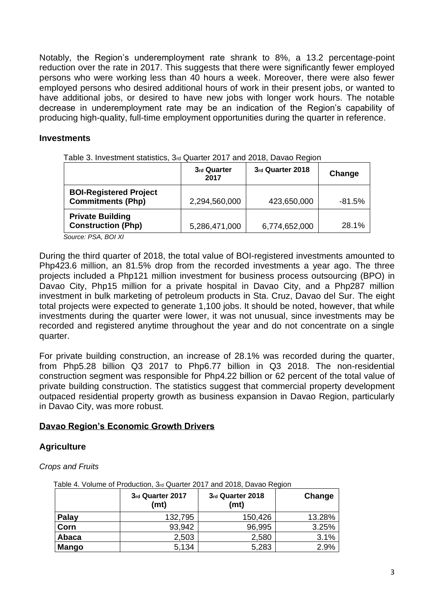Notably, the Region's underemployment rate shrank to 8%, a 13.2 percentage-point reduction over the rate in 2017. This suggests that there were significantly fewer employed persons who were working less than 40 hours a week. Moreover, there were also fewer employed persons who desired additional hours of work in their present jobs, or wanted to have additional jobs, or desired to have new jobs with longer work hours. The notable decrease in underemployment rate may be an indication of the Region's capability of producing high-quality, full-time employment opportunities during the quarter in reference.

### **Investments**

|                                                           | 3rd Quarter<br>2017 | 3rd Quarter 2018 | Change    |
|-----------------------------------------------------------|---------------------|------------------|-----------|
| <b>BOI-Registered Project</b><br><b>Commitments (Php)</b> | 2,294,560,000       | 423,650,000      | $-81.5\%$ |
| <b>Private Building</b><br><b>Construction (Php)</b>      | 5,286,471,000       | 6,774,652,000    | 28.1%     |

Table 3. Investment statistics, 3rd Quarter 2017 and 2018, Davao Region

*Source: PSA, BOI XI*

During the third quarter of 2018, the total value of BOI-registered investments amounted to Php423.6 million, an 81.5% drop from the recorded investments a year ago. The three projects included a Php121 million investment for business process outsourcing (BPO) in Davao City, Php15 million for a private hospital in Davao City, and a Php287 million investment in bulk marketing of petroleum products in Sta. Cruz, Davao del Sur. The eight total projects were expected to generate 1,100 jobs. It should be noted, however, that while investments during the quarter were lower, it was not unusual, since investments may be recorded and registered anytime throughout the year and do not concentrate on a single quarter.

For private building construction, an increase of 28.1% was recorded during the quarter, from Php5.28 billion Q3 2017 to Php6.77 billion in Q3 2018. The non-residential construction segment was responsible for Php4.22 billion or 62 percent of the total value of private building construction. The statistics suggest that commercial property development outpaced residential property growth as business expansion in Davao Region, particularly in Davao City, was more robust.

#### **Davao Region's Economic Growth Drivers**

# **Agriculture**

*Crops and Fruits*

| $\alpha$ able +. Vulditle of Froughthin, Jia Quarter ZUTT and ZUTO, Davau Region |                          |                          |        |
|----------------------------------------------------------------------------------|--------------------------|--------------------------|--------|
|                                                                                  | 3rd Quarter 2017<br>(mt) | 3rd Quarter 2018<br>(mt) | Change |
| <b>Palay</b>                                                                     | 132,795                  | 150,426                  | 13.28% |
| Corn                                                                             | 93,942                   | 96,995                   | 3.25%  |
| Abaca                                                                            | 2,503                    | 2,580                    | 3.1%   |
| <b>Mango</b>                                                                     | 5,134                    | 5,283                    | 2.9%   |

Table 4. Volume of Production, 3rd Quarter 2017 and 2018, Davao Region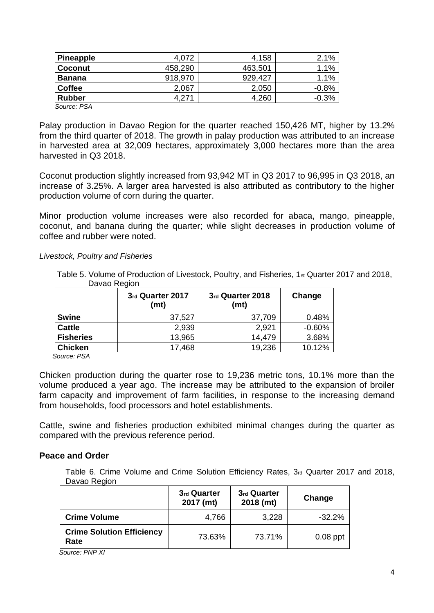| <b>Pineapple</b> | 4,072   | 4,158   | 2.1%    |
|------------------|---------|---------|---------|
| <b>Coconut</b>   | 458,290 | 463,501 | 1.1%    |
| <b>Banana</b>    | 918,970 | 929,427 | 1.1%    |
| <b>Coffee</b>    | 2,067   | 2,050   | $-0.8%$ |
| <b>Rubber</b>    | 4.271   | 4,260   | $-0.3%$ |
| Source: PSA      |         |         |         |

Palay production in Davao Region for the quarter reached 150,426 MT, higher by 13.2% from the third quarter of 2018. The growth in palay production was attributed to an increase in harvested area at 32,009 hectares, approximately 3,000 hectares more than the area harvested in Q3 2018.

Coconut production slightly increased from 93,942 MT in Q3 2017 to 96,995 in Q3 2018, an increase of 3.25%. A larger area harvested is also attributed as contributory to the higher production volume of corn during the quarter.

Minor production volume increases were also recorded for abaca, mango, pineapple, coconut, and banana during the quarter; while slight decreases in production volume of coffee and rubber were noted.

#### *Livestock, Poultry and Fisheries*

Table 5. Volume of Production of Livestock, Poultry, and Fisheries, 1st Quarter 2017 and 2018, Davao Region

|                  | 3rd Quarter 2017<br>(mt) | 3rd Quarter 2018<br>(mt) | Change   |
|------------------|--------------------------|--------------------------|----------|
| <b>Swine</b>     | 37,527                   | 37,709                   | 0.48%    |
| <b>Cattle</b>    | 2,939                    | 2,921                    | $-0.60%$ |
| <b>Fisheries</b> | 13,965                   | 14,479                   | 3.68%    |
| <b>Chicken</b>   | 17,468                   | 19,236                   | 10.12%   |
| 0. DO 1          |                          |                          |          |

 *Source: PSA*

Chicken production during the quarter rose to 19,236 metric tons, 10.1% more than the volume produced a year ago. The increase may be attributed to the expansion of broiler farm capacity and improvement of farm facilities, in response to the increasing demand from households, food processors and hotel establishments.

Cattle, swine and fisheries production exhibited minimal changes during the quarter as compared with the previous reference period.

#### **Peace and Order**

Table 6. Crime Volume and Crime Solution Efficiency Rates, 3rd Quarter 2017 and 2018, Davao Region

|                                          | 3rd Quarter<br>2017 (mt) | 3rd Quarter<br>2018 (mt) | Change     |
|------------------------------------------|--------------------------|--------------------------|------------|
| <b>Crime Volume</b>                      | 4,766                    | 3,228                    | $-32.2%$   |
| <b>Crime Solution Efficiency</b><br>Rate | 73.63%                   | 73.71%                   | $0.08$ ppt |

*Source: PNP XI*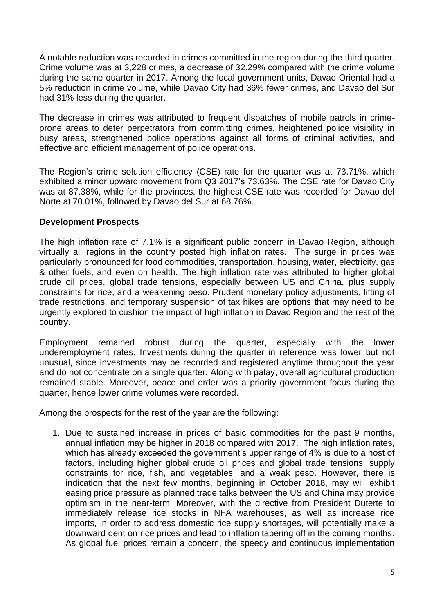A notable reduction was recorded in crimes committed in the region during the third quarter. Crime volume was at 3,228 crimes, a decrease of 32.29% compared with the crime volume during the same quarter in 2017. Among the local government units, Davao Oriental had a 5% reduction in crime volume, while Davao City had 36% fewer crimes, and Davao del Sur had 31% less during the quarter.

The decrease in crimes was attributed to frequent dispatches of mobile patrols in crimeprone areas to deter perpetrators from committing crimes, heightened police visibility in busy areas, strengthened police operations against all forms of criminal activities, and effective and efficient management of police operations.

The Region's crime solution efficiency (CSE) rate for the quarter was at 73.71%, which exhibited a minor upward movement from Q3 2017's 73.63%. The CSE rate for Davao City was at 87.38%, while for the provinces, the highest CSE rate was recorded for Davao del Norte at 70.01%, followed by Davao del Sur at 68.76%.

### **Development Prospects**

The high inflation rate of 7.1% is a significant public concern in Davao Region, although virtually all regions in the country posted high inflation rates. The surge in prices was particularly pronounced for food commodities, transportation, housing, water, electricity, gas & other fuels, and even on health. The high inflation rate was attributed to higher global crude oil prices, global trade tensions, especially between US and China, plus supply constraints for rice, and a weakening peso. Prudent monetary policy adjustments, lifting of trade restrictions, and temporary suspension of tax hikes are options that may need to be urgently explored to cushion the impact of high inflation in Davao Region and the rest of the country.

Employment remained robust during the quarter, especially with the lower underemployment rates. Investments during the quarter in reference was lower but not unusual, since investments may be recorded and registered anytime throughout the year and do not concentrate on a single quarter. Along with palay, overall agricultural production remained stable. Moreover, peace and order was a priority government focus during the quarter, hence lower crime volumes were recorded.

Among the prospects for the rest of the year are the following:

1. Due to sustained increase in prices of basic commodities for the past 9 months, annual inflation may be higher in 2018 compared with 2017. The high inflation rates, which has already exceeded the government's upper range of 4% is due to a host of factors, including higher global crude oil prices and global trade tensions, supply constraints for rice, fish, and vegetables, and a weak peso. However, there is indication that the next few months, beginning in October 2018, may will exhibit easing price pressure as planned trade talks between the US and China may provide optimism in the near-term. Moreover, with the directive from President Duterte to immediately release rice stocks in NFA warehouses, as well as increase rice imports, in order to address domestic rice supply shortages, will potentially make a downward dent on rice prices and lead to inflation tapering off in the coming months. As global fuel prices remain a concern, the speedy and continuous implementation